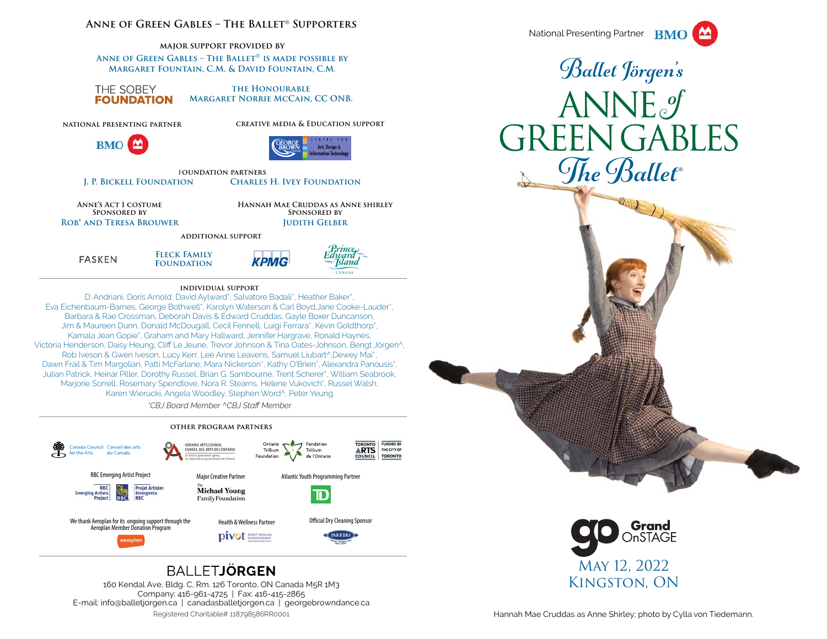### **Anne of Green Gables – The Ballet**® **Supporters**

**major support provided by** 

**Anne of Green Gables – The Ballet**® **is made possible by Margaret Fountain, C.M. & David Fountain, C.M**.

THE SOBEY **FOUNDATION** 

**the HonourableMargaret Norrie McCain, CC ONB.**

**KPMG** 

**national presenting partner**



**creative media & Education support**



**foundation partnersJ. P. Bickell Foundation Charles H. Ivey Foundation**

**Anne's Act 1 costume Sponsored byRob\* and Teresa Brouwer**  **Hannah Mae Cruddas as Anne shirleySponsored byJudith Gelber**

> Prince Edward

*Sland* CANADA

**additional support**





 D. Andriani, Doris Arnold, David Aylward\*, Salvatore Badali\*, Heather Baker\*, Eva Eichenbaum-Barnes, George Bothwell\*, Karolyn Waterson & Carl Boyd,Jane Cooke-Lauder\*, Barbara & Rae Crossman, Deborah Davis & Edward Cruddas, Gayle Boxer Duncanson, Jim & Maureen Dunn, Donald McDougall, Cecil Fennell, Luigi Ferrara\*, Kevin Goldthorp\*, Kamala Jean Gopie\*, Graham and Mary Hallward, Jennifer Hargrave, Ronald Haynes, Victoria Henderson, Daisy Heung, Cliff Le Jeune, Trevor Johnson & Tina Oates-Johnson, Bengt Jörgen^, Rob Iveson & Gwen Iveson, Lucy Kerr, Lee Anne Leavens, Samuel Liubart^,Dewey Mai\*, Dawn Frail & Tim Margolian, Patti McFarlane, Mara Nickerson\*, Kathy O'Brien\*, Alexandra Panousis\*, Julian Patrick, Heinar Piller, Dorothy Russel, Brian G. Sambourne, Trent Scherer\*, William Seabrook, Marjorie Sorrell, Rosemary Spendlove, Nora R. Stearns, Helene Vukovich\*, Russel Walsh, Karen Wierucki, Angela Woodley, Stephen Word^, Peter Yeung

*\*CBJ Board Member ^CBJ Staff Member*

#### **other program partners**



# **BALLETJÖRGEN**

160 Kendal Ave, Bldg. C, Rm. 126 Toronto, ON Canada M5R 1M3 Company: 416-961-4725 | Fax: 416-415-2865 E-mail: info@balletjorgen.ca | canadasballetjorgen.ca | georgebrowndance.ca Registered Charitable# 118798586RR0001



Ballet Jörgen's ANNE of **GREEN GABLES** The Ballet<sup>®</sup>

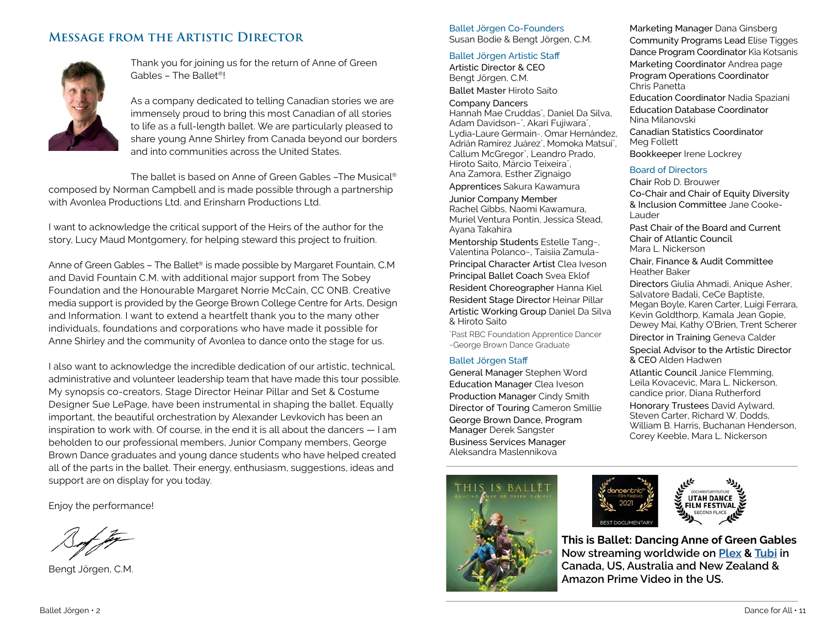# **Message from the Artistic Director**



Thank you for joining us for the return of Anne of Green Gables – The Ballet®!

As a company dedicated to telling Canadian stories we are immensely proud to bring this most Canadian of all stories to life as a full-length ballet. We are particularly pleased to share young Anne Shirley from Canada beyond our borders and into communities across the United States.

The ballet is based on Anne of Green Gables –The Musical®

composed by Norman Campbell and is made possible through a partnership with Avonlea Productions Ltd. and Erinsharn Productions Ltd.

I want to acknowledge the critical support of the Heirs of the author for the story, Lucy Maud Montgomery, for helping steward this project to fruition.

Anne of Green Gables - The Ballet® is made possible by Margaret Fountain, C.M and David Fountain C.M. with additional major support from The Sobey Foundation and the Honourable Margaret Norrie McCain, CC ONB. Creative media support is provided by the George Brown College Centre for Arts, Design and Information. I want to extend a heartfelt thank you to the many other individuals, foundations and corporations who have made it possible for Anne Shirley and the community of Avonlea to dance onto the stage for us.

I also want to acknowledge the incredible dedication of our artistic, technical, administrative and volunteer leadership team that have made this tour possible. My synopsis co-creators, Stage Director Heinar Pillar and Set & Costume Designer Sue LePage, have been instrumental in shaping the ballet. Equally important, the beautiful orchestration by Alexander Levkovich has been an inspiration to work with. Of course, in the end it is all about the dancers — I am beholden to our professional members, Junior Company members, George Brown Dance graduates and young dance students who have helped created all of the parts in the ballet. Their energy, enthusiasm, suggestions, ideas and support are on display for you today.

Enjoy the performance!

Bengt Jörgen, C.M.

#### Ballet Jörgen Co-Founders Susan Bodie & Bengt Jörgen, C.M.

### Ballet Jörgen Artistic Sta ff

Artistic Director & CEOBengt Jörgen, C.M. Ballet Master Hiroto Saito

Company Dancers Hannah Mae Cruddas˘, Daniel Da Silva, Adam Davidson~˘, Akari Fujiwara˘, Lydia-Laure Germain~, Omar Hernández, Adrián Ramírez Juárez˘, Momoka Matsui˘, Callum McGregor˘, Leandro Prado, Hiroto Saito, Márcio Teixeira˘, Ana Zamora, Esther Zignaigo

Apprentices Sakura Kawamura

Junior Company Member Rachel Gibbs, Naomi Kawamura, Muriel Ventura Pontin, Jessica Stead, Ayana Takahira

Mentorship Students Estelle Tang~, Valentina Polanco~, Taisiia Zamula~ Principal Character Artist Clea Iveson Principal Ballet Coach Svea Eklof Resident Choreographer Hanna Kiel Resident Stage Director Heinar Pillar Artistic Working Group Daniel Da Silva & Hiroto Saito

˘Past RBC Foundation Apprentice Dancer ~George Brown Dance Graduate

## Ballet Jörgen Sta ff

General Manager Stephen Word Education Manager Clea Iveson Production Manager Cindy Smith Director of Touring Cameron Smillie George Brown Dance, Program Manager Derek Sangster Business Services Manager Aleksandra Maslennikova



Marketing Manager Dana Ginsberg Community Programs Lead Elise Tigges Dance Program Coordinator Kia Kotsanis Marketing Coordinator Andrea page Program Operations Coordinator Chris Panetta Education Coordinator Nadia Spaziani Education Database CoordinatorNina Milanovski Canadian Statistics CoordinatorMeg Follett Bookkeeper Irene Lockrey

## Board of Directors

Chair Rob D. BrouwerCo-Chair and Chair of Equity Diversity & Inclusion Committee Jane Cooke-Lauder

Past Chair of the Board and Current Chair of Atlantic CouncilMara L. Nickerson

Chair, Finance & Audit Committee Heather Baker

Directors Giulia Ahmadi, Anique Asher, Salvatore Badali, CeCe Baptiste, Megan Boyle, Karen Carter, Luigi Ferrara, Kevin Goldthorp, Kamala Jean Gopie, Dewey Mai, Kathy O'Brien, Trent Scherer

Director in Training Geneva Calder

Special Advisor to the Artistic Director & CEO Alden Hadwen

Atlantic Council Janice Flemming, Leila Kovacevic, Mara L. Nickerson, candice prior, Diana Rutherford

Honorary Trustees David Aylward, Steven Carter, Richard W. Dodds, William B. Harris, Buchanan Henderson, Corey Keeble, Mara L. Nickerson



**This is Ballet: Dancing Anne of Green Gables Now streaming worldwide on Plex & Tubi in Canada, US, Australia and New Zealand & Amazon Prime Video in the US.**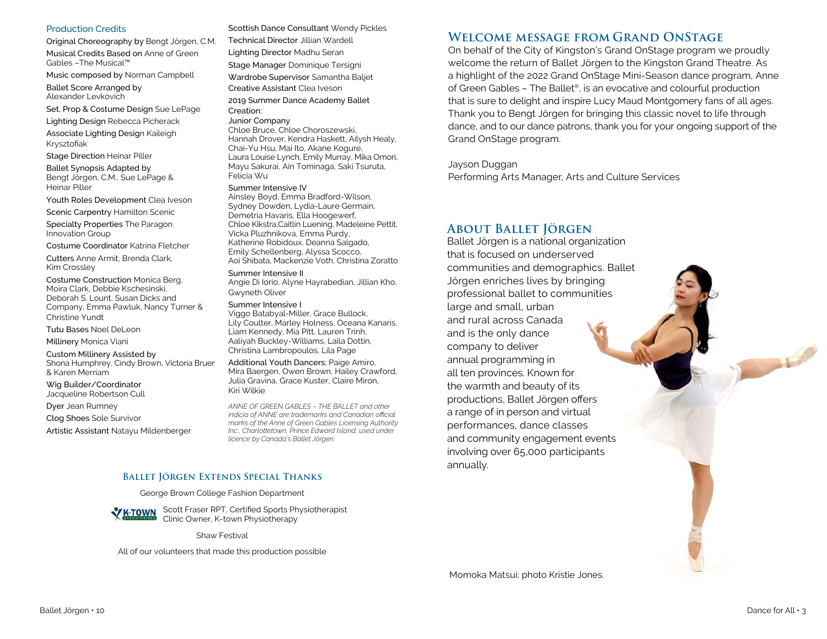#### Production Credits

Original Choreography by Bengt Jörgen, C.M. Musical Credits Based on Anne of Green Gables –The Musical™

Music composed by Norman Campbell

Ballet Score Arranged by Alexander Levkovich

Set, Prop & Costume Design Sue LePage

Lighting Design Rebecca Picherack Associate Lighting Design Kaileigh Krysztofiak

Stage Direction Heinar Piller

Ballet Synopsis Adapted by Bengt Jörgen, C.M., Sue LePage & Heinar Piller

Youth Roles Development Clea Iveson

Scenic Carpentry Hamilton Scenic

Specialty Properties The Paragon Innovation Group

Costume Coordinator Katrina Fletcher

Cutters Anne Armit, Brenda Clark, Kim Crossley

Costume Construction Monica Berg, Moira Clark, Debbie Kschesinski, Deborah S. Lount, Susan Dicks and Company, Emma Pawluk, Nancy Turner & Christine Yundt

Tutu Bases Noel DeLeon

Millinery Monica Viani

Custom Millinery Assisted by Shona Humphrey, Cindy Brown, Victoria Bruer & Karen Merriam

Wig Builder/Coordinator Jacqueline Robertson Cull

Dyer Jean Rumney

Clog Shoes Sole Survivor

Artistic Assistant Natayu Mildenberger

### Scottish Dance Consultant Wendy Pickles Technical Director Jillian Wardell Lighting Director Madhu Seran Stage Manager Dominique Tersigni Wardrobe Supervisor Samantha Baljet Creative Assistant Clea Iveson2019 Summer Dance Academy Ballet Creation:

#### Junior Company

Chloe Bruce, Chloe Choroszewski, Hannah Drover, Kendra Haskett, Ailysh Healy, Chai-Yu Hsu, Mai Ito, Akane Kogure, Laura Louise Lynch, Emily Murray, Mika Omori, Mayu Sakurai, Ain Tominaga, Saki Tsuruta, Felicia Wu

#### Summer Intensive IV

 Ainsley Boyd, Emma Bradford-Wilson, Sydney Dowden, Lydia-Laure Germain, Demetria Havaris, Ella Hoogewerf, Chloe Kikstra,Caitlin Luening, Madeleine Pettit, Vicka Pluzhnikova, Emma Purdy, Katherine Robidoux, Deanna Salgado, Emily Schellenberg, Alyssa Scocco, Aoi Shibata, Mackenzie Voth, Christina Zoratto

#### Summer Intensive II

 Angie Di Iorio, Alyne Hayrabedian, Jillian Kho, Gwyneth Oliver

#### Summer Intensive I

Viggo Batabyal-Miller, Grace Bullock, Lily Coulter, Marley Holness, Oceana Kanaris, Liam Kennedy, Mia Pitt, Lauren Trinh, Aaliyah Buckley-Williams, Laila Dottin, Christina Lambropoulos, Lila Page

Additional Youth Dancers: Paige Amiro, Mira Baergen, Owen Brown, Hailey Crawford, Julia Gravina, Grace Kuster, Claire Miron, Kiri Wilkie

*ANNE OF GREEN GABLES – THE BALLET and other indicia of ANNE are trademarks and Canadian official marks of the Anne of Green Gables Licensing Authority Inc., Charlottetown, Prince Edward Island, used under licence by Canada's Ballet Jörgen.*

# **Ballet Jörgen Extends Special Thanks**

George Brown College Fashion Department



Scott Fraser RPT, Certified Sports Physiotherapist Clinic Owner, K-town Physiotherapy

Shaw Festival

All of our volunteers that made this production possible

# **Welcome message from Grand OnStage**

 On behalf of the City of Kingston's Grand OnStage program we proudly welcome the return of Ballet Jörgen to the Kingston Grand Theatre. As a highlight of the 2022 Grand OnStage Mini-Season dance program, Anne of Green Gables – The Ballet®, is an evocative and colourful production that is sure to delight and inspire Lucy Maud Montgomery fans of all ages. Thank you to Bengt Jörgen for bringing this classic novel to life through dance, and to our dance patrons, thank you for your ongoing support of the Grand OnStage program.

Jayson DugganPerforming Arts Manager, Arts and Culture Services

# **About Ballet Jörgen**

Ballet Jörgen is a national organization that is focused on underserved communities and demographics. Ballet Jörgen enriches lives by bringing professional ballet to communities large and small, urban and rural across Canada and is the only dance company to deliver annual programming in all ten provinces. Known for the warmth and beauty of its productions, Ballet Jörgen offers a range of in person and virtual performances, dance classes and community engagement events involving over 65,000 participants annually.

Momoka Matsui; photo Kristie Jones.

Control Books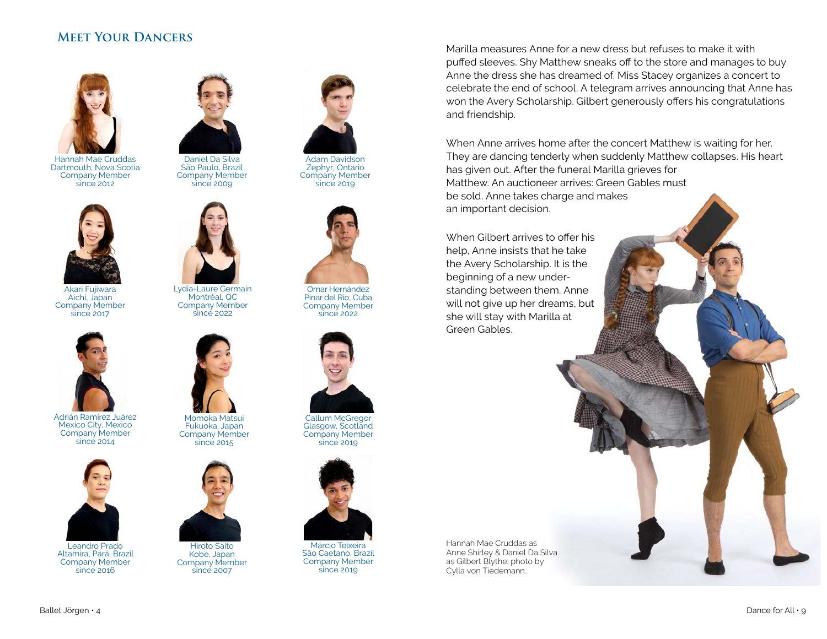# **Meet Your Dancers**



Hannah Mae Cruddas Dartmouth, Nova Scotia Company Member  $\sin 2012$ 



Akari Fujiwara Aichi, Japan Company Member since 2017



Adrián Ramírez Juárez Mexico City, Mexico Company Member since 2014



Leandro Prado Altamira, Pará, Brazil Company Member since 2016



Daniel Da Silva São Paulo, Brazil Company Member since 2009

Lydia-Laure Germain Montréal, QC Company Member  $\frac{1}{2}$ since 2022

Momoka Matsui Fukuoka, Japan Company Member since 2015

Hiroto Saito Kobe, Japan Company Member since 2007





Omar Hernández Pinar del Rio, Cuba Company Member since 2022



Callum McGregor Glasgow, Scotland Company Member since 2019



Márcio Teixeira São Caetano, Brazil Company Member since 2019

Marilla measures Anne for a new dress but refuses to make it with puffed sleeves. Shy Matthew sneaks off to the store and manages to buy Anne the dress she has dreamed of. Miss Stacey organizes a concert to celebrate the end of school. A telegram arrives announcing that Anne has won the Avery Scholarship. Gilbert generously offers his congratulations and friendship.

When Anne arrives home after the concert Matthew is waiting for her. They are dancing tenderly when suddenly Matthew collapses. His heart has given out. After the funeral Marilla grieves for Matthew. An auctioneer arrives: Green Gables must be sold. Anne takes charge and makes an important decision.

When Gilbert arrives to offer his help, Anne insists that he take the Avery Scholarship. It is the beginning of a new understanding between them. Anne will not give up her dreams, but she will stay with Marilla at Green Gables.

Hannah Mae Cruddas as Anne Shirley & Daniel Da Silva as Gilbert Blythe; photo by Cylla von Tiedemann..

Ballet Jörgen • 4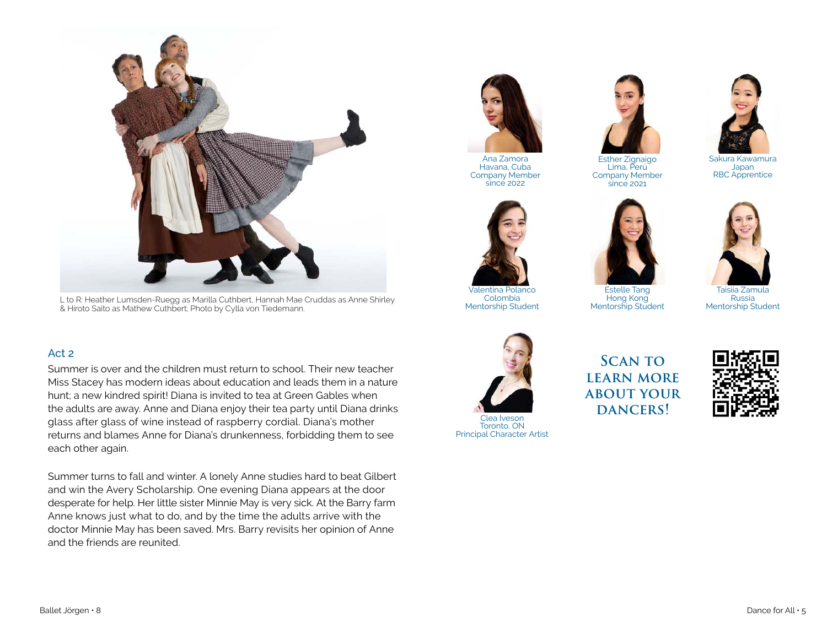

L to R: Heather Lumsden-Ruegg as Marilla Cuthbert, Hannah Mae Cruddas as Anne Shirley & Hiroto Saito as Mathew Cuthbert; Photo by Cylla von Tiedemann.

# Act 2

Summer is over and the children must return to school. Their new teacher Miss Stacey has modern ideas about education and leads them in a nature hunt; a new kindred spirit! Diana is invited to tea at Green Gables when the adults are away. Anne and Diana enjoy their tea party until Diana drinks glass after glass of wine instead of raspberry cordial. Diana's mother returns and blames Anne for Diana's drunkenness, forbidding them to see each other again.

Summer turns to fall and winter. A lonely Anne studies hard to beat Gilbert and win the Avery Scholarship. One evening Diana appears at the door desperate for help. Her little sister Minnie May is very sick. At the Barry farm Anne knows just what to do, and by the time the adults arrive with the doctor Minnie May has been saved. Mrs. Barry revisits her opinion of Anne and the friends are reunited.



 Havana, Cuba Company Member since 2022



Company Member since 2021

Sakura KawamuraJapan RBC Apprentice



Valentina Polanco Colombia Mentorship Student

Estelle Tang Hong Kong Mentorship Student



Taisiia Zamula RussiaMentorship Student



**Scan to LEARN MORE about your** DANCERS!



Principal Character Artist